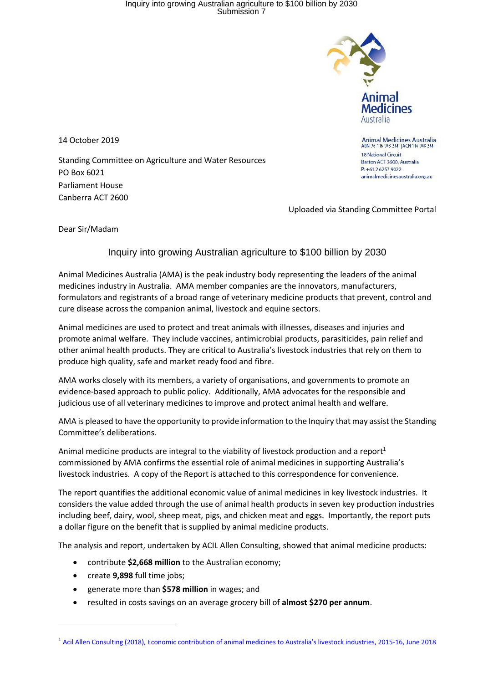## Inquiry into growing Australian agriculture to \$100 billion by 2030 Submission 7



**Animal Medicines Australia** ABN 76 116 948 344 | ACN 116 948 344

animalmedicinesaustralia.org.au

**18 National Circuit** Barton ACT 2600, Australia P: +61 2 6257 9022

14 October 2019

Standing Committee on Agriculture and Water Resources PO Box 6021 Parliament House Canberra ACT 2600

Uploaded via Standing Committee Portal

Dear Sir/Madam

## Inquiry into growing Australian agriculture to \$100 billion by 2030

Animal Medicines Australia (AMA) is the peak industry body representing the leaders of the animal medicines industry in Australia. AMA member companies are the innovators, manufacturers, formulators and registrants of a broad range of veterinary medicine products that prevent, control and cure disease across the companion animal, livestock and equine sectors.

Animal medicines are used to protect and treat animals with illnesses, diseases and injuries and promote animal welfare. They include vaccines, antimicrobial products, parasiticides, pain relief and other animal health products. They are critical to Australia's livestock industries that rely on them to produce high quality, safe and market ready food and fibre.

AMA works closely with its members, a variety of organisations, and governments to promote an evidence-based approach to public policy. Additionally, AMA advocates for the responsible and judicious use of all veterinary medicines to improve and protect animal health and welfare.

AMA is pleased to have the opportunity to provide information to the Inquiry that may assist the Standing Committee's deliberations.

Animal medicine products are integral to the viability of livestock production and a report<sup>1</sup> commissioned by AMA confirms the essential role of animal medicines in supporting Australia's livestock industries. A copy of the Report is attached to this correspondence for convenience.

The report quantifies the additional economic value of animal medicines in key livestock industries. It considers the value added through the use of animal health products in seven key production industries including beef, dairy, wool, sheep meat, pigs, and chicken meat and eggs. Importantly, the report puts a dollar figure on the benefit that is supplied by animal medicine products.

The analysis and report, undertaken by ACIL Allen Consulting, showed that animal medicine products:

- contribute **\$2,668 million** to the Australian economy;
- create **9,898** full time jobs;
- generate more than **\$578 million** in wages; and
- resulted in costs savings on an average grocery bill of **almost \$270 per annum**.

<sup>1</sup> [Acil Allen Consulting \(2018\), Economic contribution of animal medicines](https://animalmedicinesaustralia.org.au/wp-content/uploads/2018/08/AMA-Economic-Contribution-Final-Report-9-August-2018-FINAL.pdf) to Australia's livestock industries, 2015-16, June 2018